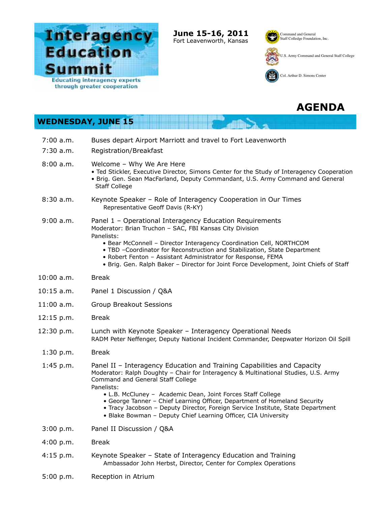

**June 15-16, 2011** Fort Leavenworth, Kansas

**Hill** 

**The A** 

£.

Command and General Staff Colledge Foundation, Inc.



U.S. Army Command and General Staff College



Col. Arthur D. Simons Center

## **AGENDA**

## **WEDNESDAY, JUNE 15**

| $7:00$ a.m.<br>$7:30$ a.m. | Buses depart Airport Marriott and travel to Fort Leavenworth<br>Registration/Breakfast                                                                                                                                                                                                                                                                                                                                                                                                                             |
|----------------------------|--------------------------------------------------------------------------------------------------------------------------------------------------------------------------------------------------------------------------------------------------------------------------------------------------------------------------------------------------------------------------------------------------------------------------------------------------------------------------------------------------------------------|
| 8:00 a.m.                  | Welcome - Why We Are Here<br>. Ted Stickler, Executive Director, Simons Center for the Study of Interagency Cooperation<br>. Brig. Gen. Sean MacFarland, Deputy Commandant, U.S. Army Command and General<br><b>Staff College</b>                                                                                                                                                                                                                                                                                  |
| 8:30a.m.                   | Keynote Speaker - Role of Interagency Cooperation in Our Times<br>Representative Geoff Davis (R-KY)                                                                                                                                                                                                                                                                                                                                                                                                                |
| 9:00 a.m.                  | Panel 1 - Operational Interagency Education Requirements<br>Moderator: Brian Truchon - SAC, FBI Kansas City Division<br>Panelists:<br>• Bear McConnell - Director Interagency Coordination Cell, NORTHCOM<br>. TBD -Coordinator for Reconstruction and Stabilization, State Department<br>• Robert Fenton - Assistant Administrator for Response, FEMA<br>. Brig. Gen. Ralph Baker - Director for Joint Force Development, Joint Chiefs of Staff                                                                   |
| $10:00$ a.m.               | <b>Break</b>                                                                                                                                                                                                                                                                                                                                                                                                                                                                                                       |
| $10:15$ a.m.               | Panel 1 Discussion / Q&A                                                                                                                                                                                                                                                                                                                                                                                                                                                                                           |
| $11:00$ a.m.               | <b>Group Breakout Sessions</b>                                                                                                                                                                                                                                                                                                                                                                                                                                                                                     |
| 12:15 p.m.                 | <b>Break</b>                                                                                                                                                                                                                                                                                                                                                                                                                                                                                                       |
| 12:30 p.m.                 | Lunch with Keynote Speaker - Interagency Operational Needs<br>RADM Peter Neffenger, Deputy National Incident Commander, Deepwater Horizon Oil Spill                                                                                                                                                                                                                                                                                                                                                                |
| 1:30 p.m.                  | <b>Break</b>                                                                                                                                                                                                                                                                                                                                                                                                                                                                                                       |
| $1:45$ p.m.                | Panel II - Interagency Education and Training Capabilities and Capacity<br>Moderator: Ralph Doughty - Chair for Interagency & Multinational Studies, U.S. Army<br>Command and General Staff College<br>Panelists:<br>• L.B. McCluney - Academic Dean, Joint Forces Staff College<br>• George Tanner - Chief Learning Officer, Department of Homeland Security<br>• Tracy Jacobson - Deputy Director, Foreign Service Institute, State Department<br>• Blake Bowman - Deputy Chief Learning Officer, CIA University |
| 3:00 p.m.                  | Panel II Discussion / Q&A                                                                                                                                                                                                                                                                                                                                                                                                                                                                                          |
| 4:00 p.m.                  | <b>Break</b>                                                                                                                                                                                                                                                                                                                                                                                                                                                                                                       |
| $4:15$ p.m.                | Keynote Speaker - State of Interagency Education and Training<br>Ambassador John Herbst, Director, Center for Complex Operations                                                                                                                                                                                                                                                                                                                                                                                   |
| 5:00 p.m.                  | Reception in Atrium                                                                                                                                                                                                                                                                                                                                                                                                                                                                                                |